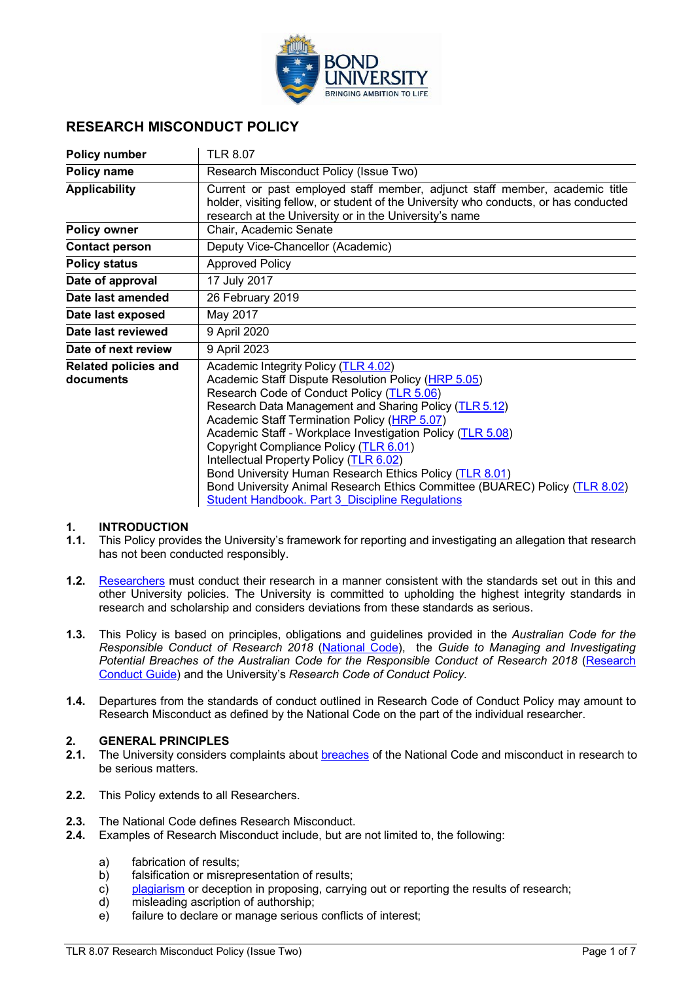

### **RESEARCH MISCONDUCT POLICY**

| <b>Policy number</b>                     | <b>TLR 8.07</b>                                                                                                                                                                                                                                                                                                                                                                                                                                                                                                                                                                                            |
|------------------------------------------|------------------------------------------------------------------------------------------------------------------------------------------------------------------------------------------------------------------------------------------------------------------------------------------------------------------------------------------------------------------------------------------------------------------------------------------------------------------------------------------------------------------------------------------------------------------------------------------------------------|
| Policy name                              | Research Misconduct Policy (Issue Two)                                                                                                                                                                                                                                                                                                                                                                                                                                                                                                                                                                     |
| <b>Applicability</b>                     | Current or past employed staff member, adjunct staff member, academic title<br>holder, visiting fellow, or student of the University who conducts, or has conducted<br>research at the University or in the University's name                                                                                                                                                                                                                                                                                                                                                                              |
| <b>Policy owner</b>                      | Chair, Academic Senate                                                                                                                                                                                                                                                                                                                                                                                                                                                                                                                                                                                     |
| <b>Contact person</b>                    | Deputy Vice-Chancellor (Academic)                                                                                                                                                                                                                                                                                                                                                                                                                                                                                                                                                                          |
| <b>Policy status</b>                     | <b>Approved Policy</b>                                                                                                                                                                                                                                                                                                                                                                                                                                                                                                                                                                                     |
| Date of approval                         | 17 July 2017                                                                                                                                                                                                                                                                                                                                                                                                                                                                                                                                                                                               |
| Date last amended                        | 26 February 2019                                                                                                                                                                                                                                                                                                                                                                                                                                                                                                                                                                                           |
| Date last exposed                        | May 2017                                                                                                                                                                                                                                                                                                                                                                                                                                                                                                                                                                                                   |
| Date last reviewed                       | 9 April 2020                                                                                                                                                                                                                                                                                                                                                                                                                                                                                                                                                                                               |
| Date of next review                      | 9 April 2023                                                                                                                                                                                                                                                                                                                                                                                                                                                                                                                                                                                               |
| <b>Related policies and</b><br>documents | Academic Integrity Policy (TLR 4.02)<br>Academic Staff Dispute Resolution Policy (HRP 5.05)<br>Research Code of Conduct Policy (TLR 5.06)<br>Research Data Management and Sharing Policy (TLR 5.12)<br>Academic Staff Termination Policy (HRP 5.07)<br>Academic Staff - Workplace Investigation Policy (TLR 5.08)<br>Copyright Compliance Policy (TLR 6.01)<br>Intellectual Property Policy (TLR 6.02)<br>Bond University Human Research Ethics Policy (TLR 8.01)<br>Bond University Animal Research Ethics Committee (BUAREC) Policy (TLR 8.02)<br><b>Student Handbook. Part 3 Discipline Regulations</b> |

#### **1. INTRODUCTION**

- **1.1.** This Policy provides the University's framework for reporting and investigating an allegation that research has not been conducted responsibly.
- **1.2.** [Researchers](#page-3-0) must conduct their research in a manner consistent with the standards set out in this and other University policies. The University is committed to upholding the highest integrity standards in research and scholarship and considers deviations from these standards as serious.
- **1.3.** This Policy is based on principles, obligations and guidelines provided in the *Australian Code for the Responsible Conduct of Research 2018* [\(National Code\)](https://nhmrc.gov.au/about-us/publications/australian-code-responsible-conduct-research-2018), the *Guide to Managing and Investigating Potential Breaches of the Australian Code for the Responsible Conduct of Research 2018* [\(Research](https://nhmrc.gov.au/about-us/publications/guide-managing-and-investigating-potential-breaches-code)  [Conduct Guide\)](https://nhmrc.gov.au/about-us/publications/guide-managing-and-investigating-potential-breaches-code) and the University's *Research Code of Conduct Policy*.
- **1.4.** Departures from the standards of conduct outlined in Research Code of Conduct Policy may amount to Research Misconduct as defined by the National Code on the part of the individual researcher.

#### **2. GENERAL PRINCIPLES**

- **2.1.** The University considers complaints about [breaches](#page-3-1) of the National Code and misconduct in research to be serious matters.
- **2.2.** This Policy extends to all Researchers.
- **2.3.** The National Code defines Research Misconduct.
- **2.4.** Examples of Research Misconduct include, but are not limited to, the following:
	- a) fabrication of results;
	- b) falsification or misrepresentation of results;
	- c) [plagiarism](#page-3-2) or deception in proposing, carrying out or reporting the results of research;
	- d) misleading ascription of authorship;
	- e) failure to declare or manage serious conflicts of interest;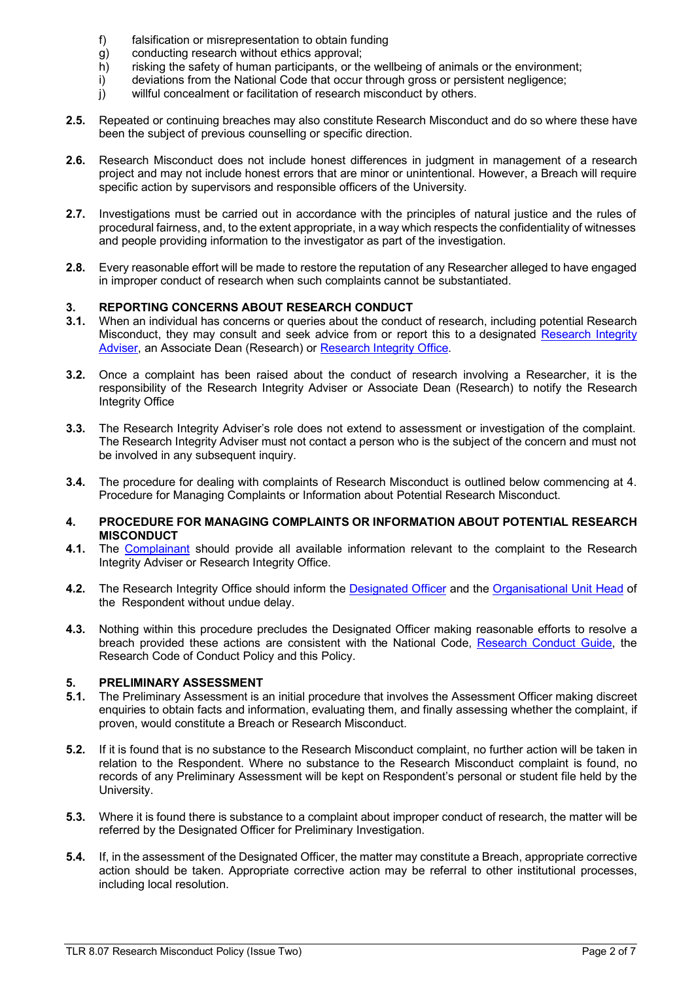- f) falsification or misrepresentation to obtain funding
- g) conducting research without ethics approval;
- h) risking the safety of human participants, or the wellbeing of animals or the environment;
- i) deviations from the National Code that occur through gross or persistent negligence;
- j) willful concealment or facilitation of research misconduct by others.
- **2.5.** Repeated or continuing breaches may also constitute Research Misconduct and do so where these have been the subject of previous counselling or specific direction.
- **2.6.** Research Misconduct does not include honest differences in judgment in management of a research project and may not include honest errors that are minor or unintentional. However, a Breach will require specific action by supervisors and responsible officers of the University.
- **2.7.** Investigations must be carried out in accordance with the principles of natural justice and the rules of procedural fairness, and, to the extent appropriate, in a way which respects the confidentiality of witnesses and people providing information to the investigator as part of the investigation.
- **2.8.** Every reasonable effort will be made to restore the reputation of any Researcher alleged to have engaged in improper conduct of research when such complaints cannot be substantiated.

# **3. REPORTING CONCERNS ABOUT RESEARCH CONDUCT**<br>**3.1.** When an individual has concerns or queries about the conduct

- **3.1.** When an individual has concerns or queries about the conduct of research, including potential Research Misconduct, they may consult and seek advice from or report this to a designated Research Integrity Adviser, an Associate Dean (Research) or [Research Integrity Office.](#page-4-0)
- **3.2.** Once a complaint has been raised about the conduct of research involving a Researcher, it is the responsibility of the Research Integrity Adviser or Associate Dean (Research) to notify the Research Integrity Office
- **3.3.** The Research Integrity Adviser's role does not extend to assessment or investigation of the complaint. The Research Integrity Adviser must not contact a person who is the subject of the concern and must not be involved in any subsequent inquiry.
- **3.4.** The procedure for dealing with complaints of Research Misconduct is outlined below commencing at 4. Procedure for Managing Complaints or Information about Potential Research Misconduct.

#### **4. PROCEDURE FOR MANAGING COMPLAINTS OR INFORMATION ABOUT POTENTIAL RESEARCH MISCONDUCT**

- **4.1.** The Complainant should provide all available information relevant to the complaint to the Research Integrity Adviser or Research Integrity Office.
- **4.2.** The Research Integrity Office should inform the [Designated](#page-3-3) Officer and the [Organisational Unit Head](#page-3-4) of the Respondent without undue delay.
- **4.3.** Nothing within this procedure precludes the Designated Officer making reasonable efforts to resolve a breach provided these actions are consistent with the National Code, [Research Conduct Guide,](https://nhmrc.gov.au/about-us/publications/guide-managing-and-investigating-potential-breaches-code) the Research Code of Conduct Policy and this Policy.

# **5. PRELIMINARY ASSESSMENT**<br>**5.1.** The Preliminary Assessment is a

- **5.1.** The Preliminary Assessment is an initial procedure that involves the Assessment Officer making discreet enquiries to obtain facts and information, evaluating them, and finally assessing whether the complaint, if proven, would constitute a Breach or Research Misconduct.
- **5.2.** If it is found that is no substance to the Research Misconduct complaint, no further action will be taken in relation to the Respondent. Where no substance to the Research Misconduct complaint is found, no records of any Preliminary Assessment will be kept on Respondent's personal or student file held by the University.
- **5.3.** Where it is found there is substance to a complaint about improper conduct of research, the matter will be referred by the Designated Officer for Preliminary Investigation.
- **5.4.** If, in the assessment of the Designated Officer, the matter may constitute a Breach, appropriate corrective action should be taken. Appropriate corrective action may be referral to other institutional processes, including local resolution.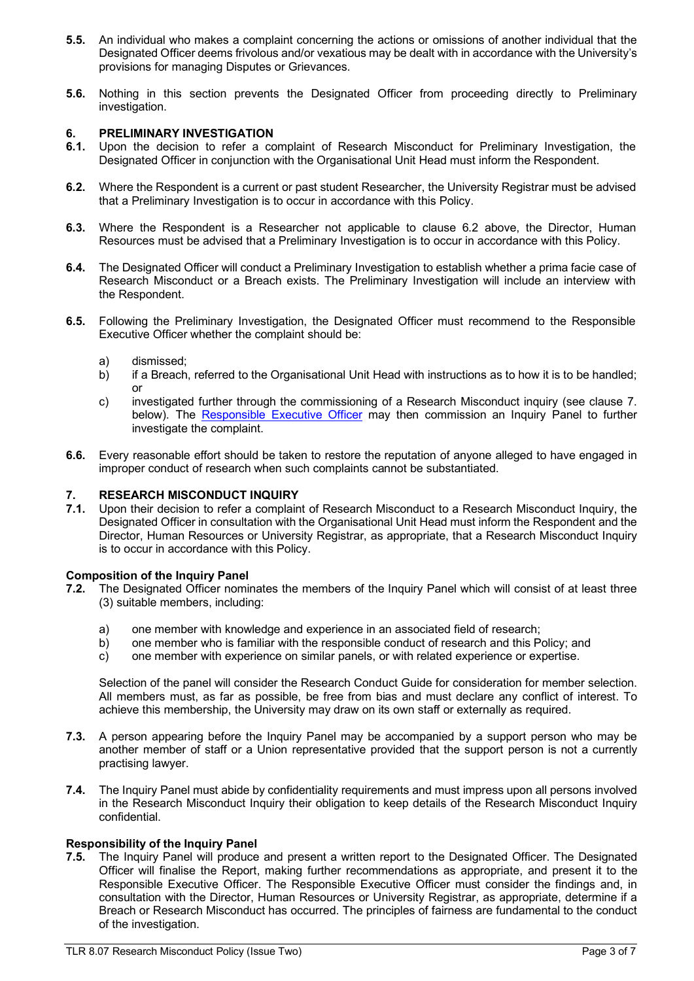- **5.5.** An individual who makes a complaint concerning the actions or omissions of another individual that the Designated Officer deems frivolous and/or vexatious may be dealt with in accordance with the University's provisions for managing Disputes or Grievances.
- **5.6.** Nothing in this section prevents the Designated Officer from proceeding directly to Preliminary investigation.

# **6. PRELIMINARY INVESTIGATION**

- Upon the decision to refer a complaint of Research Misconduct for Preliminary Investigation, the Designated Officer in conjunction with the Organisational Unit Head must inform the Respondent.
- **6.2.** Where the Respondent is a current or past student Researcher, the University Registrar must be advised that a Preliminary Investigation is to occur in accordance with this Policy.
- **6.3.** Where the Respondent is a Researcher not applicable to clause 6.2 above, the Director, Human Resources must be advised that a Preliminary Investigation is to occur in accordance with this Policy.
- **6.4.** The Designated Officer will conduct a Preliminary Investigation to establish whether a prima facie case of Research Misconduct or a Breach exists. The Preliminary Investigation will include an interview with the Respondent.
- **6.5.** Following the Preliminary Investigation, the Designated Officer must recommend to the Responsible Executive Officer whether the complaint should be:
	- a) dismissed;
	- b) if a Breach, referred to the Organisational Unit Head with instructions as to how it is to be handled; or
	- c) investigated further through the commissioning of a Research Misconduct inquiry (see clause 7. below). The [Responsible Executive Officer](#page-4-1) may then commission an Inquiry Panel to further investigate the complaint.
- **6.6.** Every reasonable effort should be taken to restore the reputation of anyone alleged to have engaged in improper conduct of research when such complaints cannot be substantiated.

### **7. RESEARCH MISCONDUCT INQUIRY**

**7.1.** Upon their decision to refer a complaint of Research Misconduct to a Research Misconduct Inquiry, the Designated Officer in consultation with the Organisational Unit Head must inform the Respondent and the Director, Human Resources or University Registrar, as appropriate, that a Research Misconduct Inquiry is to occur in accordance with this Policy.

#### **Composition of the Inquiry Panel**

- **7.2.** The Designated Officer nominates the members of the Inquiry Panel which will consist of at least three (3) suitable members, including:
	- a) one member with knowledge and experience in an associated field of research;<br>b) one member who is familiar with the responsible conduct of research and this P
	- one member who is familiar with the responsible conduct of research and this Policy; and
	- c) one member with experience on similar panels, or with related experience or expertise.

Selection of the panel will consider the Research Conduct Guide for consideration for member selection. All members must, as far as possible, be free from bias and must declare any conflict of interest. To achieve this membership, the University may draw on its own staff or externally as required.

- **7.3.** A person appearing before the Inquiry Panel may be accompanied by a support person who may be another member of staff or a Union representative provided that the support person is not a currently practising lawyer.
- **7.4.** The Inquiry Panel must abide by confidentiality requirements and must impress upon all persons involved in the Research Misconduct Inquiry their obligation to keep details of the Research Misconduct Inquiry confidential.

#### **Responsibility of the Inquiry Panel**

**7.5.** The Inquiry Panel will produce and present a written report to the Designated Officer. The Designated Officer will finalise the Report, making further recommendations as appropriate, and present it to the Responsible Executive Officer. The Responsible Executive Officer must consider the findings and, in consultation with the Director, Human Resources or University Registrar, as appropriate, determine if a Breach or Research Misconduct has occurred. The principles of fairness are fundamental to the conduct of the investigation.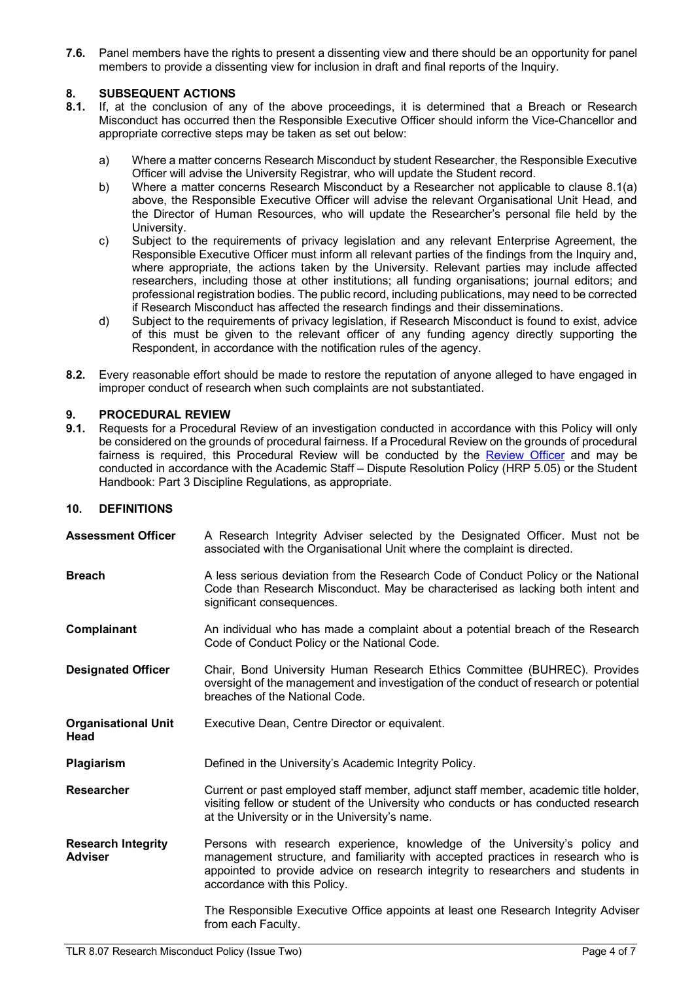**7.6.** Panel members have the rights to present a dissenting view and there should be an opportunity for panel members to provide a dissenting view for inclusion in draft and final reports of the Inquiry.

# 8. **SUBSEQUENT ACTIONS**<br>**8.1.** If, at the conclusion of ar

- **8.1.** If, at the conclusion of any of the above proceedings, it is determined that a Breach or Research Misconduct has occurred then the Responsible Executive Officer should inform the Vice-Chancellor and appropriate corrective steps may be taken as set out below:
	- a) Where a matter concerns Research Misconduct by student Researcher, the Responsible Executive Officer will advise the University Registrar, who will update the Student record.
	- b) Where a matter concerns Research Misconduct by a Researcher not applicable to clause 8.1(a) above, the Responsible Executive Officer will advise the relevant Organisational Unit Head, and the Director of Human Resources, who will update the Researcher's personal file held by the University.
	- c) Subject to the requirements of privacy legislation and any relevant Enterprise Agreement, the Responsible Executive Officer must inform all relevant parties of the findings from the Inquiry and, where appropriate, the actions taken by the University. Relevant parties may include affected researchers, including those at other institutions; all funding organisations; journal editors; and professional registration bodies. The public record, including publications, may need to be corrected if Research Misconduct has affected the research findings and their disseminations.
	- d) Subject to the requirements of privacy legislation, if Research Misconduct is found to exist, advice of this must be given to the relevant officer of any funding agency directly supporting the Respondent, in accordance with the notification rules of the agency.
- **8.2.** Every reasonable effort should be made to restore the reputation of anyone alleged to have engaged in improper conduct of research when such complaints are not substantiated.

# **9. PROCEDURAL REVIEW**

**9.1.** Requests for a Procedural Review of an investigation conducted in accordance with this Policy will only be considered on the grounds of procedural fairness. If a Procedural Review on the grounds of procedural fairness is required, this Procedural Review will be conducted by the [Review Officer](#page-4-2) and may be conducted in accordance with the Academic Staff – Dispute Resolution Policy (HRP 5.05) or the Student Handbook: Part 3 Discipline Regulations, as appropriate.

#### **10. DEFINITIONS**

<span id="page-3-4"></span><span id="page-3-3"></span><span id="page-3-2"></span><span id="page-3-1"></span><span id="page-3-0"></span>

| <b>Assessment Officer</b>                   | A Research Integrity Adviser selected by the Designated Officer. Must not be<br>associated with the Organisational Unit where the complaint is directed.                                                                                                                           |
|---------------------------------------------|------------------------------------------------------------------------------------------------------------------------------------------------------------------------------------------------------------------------------------------------------------------------------------|
| <b>Breach</b>                               | A less serious deviation from the Research Code of Conduct Policy or the National<br>Code than Research Misconduct. May be characterised as lacking both intent and<br>significant consequences.                                                                                   |
| Complainant                                 | An individual who has made a complaint about a potential breach of the Research<br>Code of Conduct Policy or the National Code.                                                                                                                                                    |
| <b>Designated Officer</b>                   | Chair, Bond University Human Research Ethics Committee (BUHREC). Provides<br>oversight of the management and investigation of the conduct of research or potential<br>breaches of the National Code.                                                                               |
| <b>Organisational Unit</b><br>Head          | Executive Dean, Centre Director or equivalent.                                                                                                                                                                                                                                     |
| Plagiarism                                  | Defined in the University's Academic Integrity Policy.                                                                                                                                                                                                                             |
| <b>Researcher</b>                           | Current or past employed staff member, adjunct staff member, academic title holder,<br>visiting fellow or student of the University who conducts or has conducted research<br>at the University or in the University's name.                                                       |
| <b>Research Integrity</b><br><b>Adviser</b> | Persons with research experience, knowledge of the University's policy and<br>management structure, and familiarity with accepted practices in research who is<br>appointed to provide advice on research integrity to researchers and students in<br>accordance with this Policy. |
|                                             | The Responsible Executive Office appoints at least one Research Integrity Adviser<br>from each Faculty.                                                                                                                                                                            |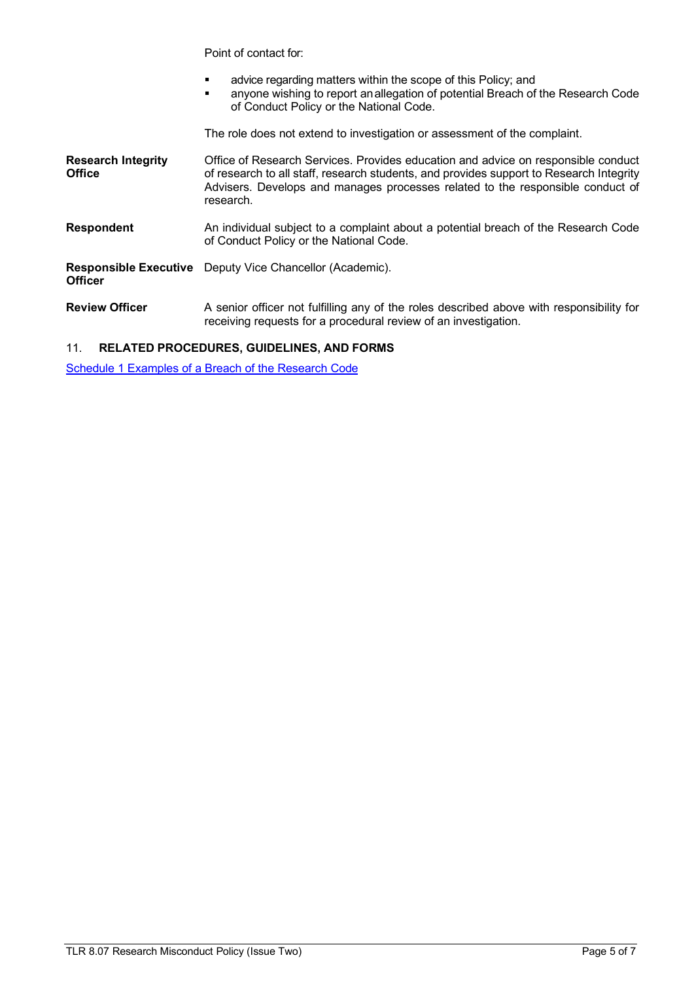Point of contact for:

- advice regarding matters within the scope of this Policy; and
- anyone wishing to report anallegation of potential Breach of the Research Code of Conduct Policy or the National Code.

The role does not extend to investigation or assessment of the complaint.

- <span id="page-4-0"></span>**Research Integrity Office** Office of Research Services. Provides education and advice on responsible conduct of research to all staff, research students, and provides support to Research Integrity Advisers. Develops and manages processes related to the responsible conduct of research. **Respondent** An individual subject to a complaint about a potential breach of the Research Code of Conduct Policy or the National Code.
- <span id="page-4-1"></span>**Responsible Executive**  Deputy Vice Chancellor (Academic). **Officer**
- <span id="page-4-2"></span>**Review Officer** A senior officer not fulfilling any of the roles described above with responsibility for receiving requests for a procedural review of an investigation.

### 11. **RELATED PROCEDURES, GUIDELINES, AND FORMS**

Schedule 1 [Examples of a Breach of the Research Code](#page-5-0)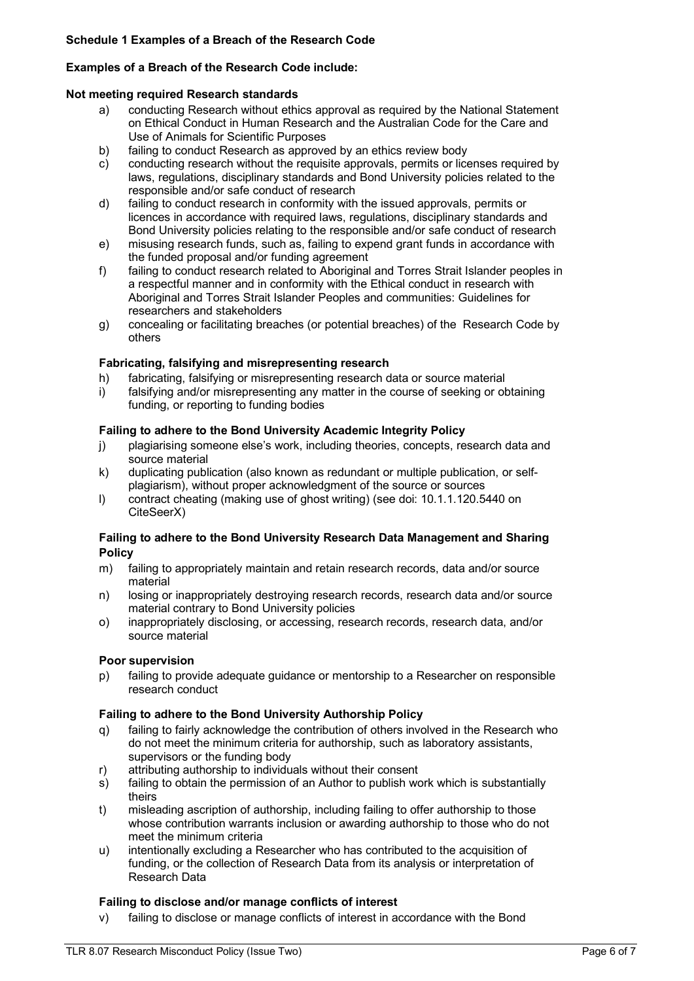### <span id="page-5-0"></span>**Examples of a Breach of the Research Code include:**

#### **Not meeting required Re[search standards](https://www.gs.unsw.edu.au/policy/documents/researchcode.pdf)**

- a) conducting Research without ethics approval as required by the National Statement on Ethical [Conduct in Human Research a](https://www.nhmrc.gov.au/about-us/publications/national-statement-ethical-conduct-human-research-2007-updated-2018)nd the Australian Code for the Care and Use of Animals for [Scientific Purposes](https://www.nhmrc.gov.au/about-us/publications/australian-code-care-and-use-animals-scientific-purposes)
- b) failing to conduct Research as approved by an ethics review body
- c) conducting research without the requisite approvals, permits or licenses required by laws, regulations, disciplinary standards and Bond University policies related to the responsible and/or safe conduct of research
- d) failing to conduct research in conformity with the issued approvals, permits or licences in accordance with required laws, regulations, disciplinary standards and Bond University policies relating to the responsible and/or safe conduct of research
- e) misusing research funds, such as, failing to expend grant funds in accordance with the funded proposal and/or funding agreement
- f) failing to conduct research related to Aboriginal and Torres Strait Islander peoples in a respectful manner and in conformity with the Ethical conduct in research with Aboriginal and Torres Strait Islander Peoples and communities: Guidelines for researchers and stakeholders
- g) concealing or facilitating breaches (or potential breaches) of the [Research Code b](https://www.gs.unsw.edu.au/policy/documents/researchcode.pdf)y others

#### **Fabricating, falsifying and misrepresenting research**

- h) fabricating, falsifying or misrepresenting research data or source material
- i) falsifying and/or misrepresenting any matter in the course of seeking or obtaining funding, or reporting to funding bodies

#### **Failing to adhere to the Bond University Academic Integrity Policy**

- j) plagiarising someone else's work, including theories, concepts, research data and source material
- k) duplicating publication (also known as redundant or multiple publication, or selfplagiarism), without proper acknowledgment of the source or sources
- l) contract cheating (making use of ghost writing) (see doi: 10.1.1.120.5440 on CiteSeerX)

#### **Failing to adhere to the Bond University [Research Data Management](https://www.gs.unsw.edu.au/policy/documents/researchdataproc.pdf) and Sharing Policy**

- m) failing to appropriately maintain and retain research records, data and/or source material
- n) losing or inappropriately destroying research records, research data and/or source material contrary to Bond University policies
- o) inappropriately disclosing, or accessing, research records, research data, and/or source material

#### **Poor supervision**

p) failing to provide adequate guidance or mentorship to a Researcher on responsible research conduct

#### **Failing to adhere to the Bond University [Authorship Policy](https://www.gs.unsw.edu.au/policy/documents/researchauthorproc.pdf)**

- q) failing to fairly acknowledge the contribution of others involved in the Research who do not meet the minimum criteria for authorship, such as laboratory assistants, supervisors or the funding body
- r) attributing authorship to individuals without their consent
- s) failing to obtain the permission of an Author to publish work which is substantially theirs
- t) misleading ascription of authorship, including failing to offer authorship to those whose contribution warrants inclusion or awarding authorship to those who do not meet the minimum criteria
- u) intentionally excluding a Researcher who has contributed to the acquisition of funding, or the collection of Research Data from its analysis or interpretation of Research Data

#### **Failing to disclose and/or manage conflicts of interest**

v) failing to disclose or manage conflicts of interest in accordance with the Bond